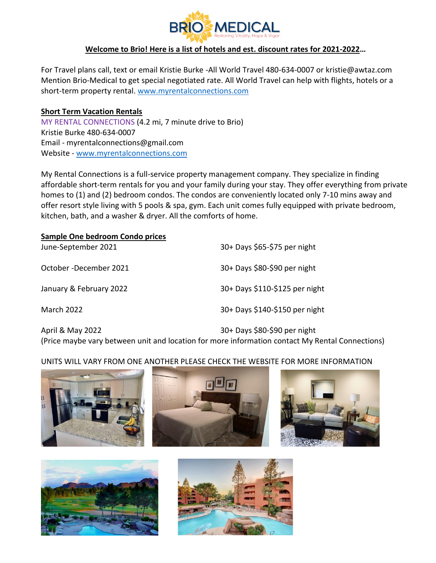

## **Welcome to Brio! Here is a list of hotels and est. discount rates for 2021-2022…**

For Travel plans call, text or email Kristie Burke -All World Travel 480-634-0007 or kristie@awtaz.com Mention Brio-Medical to get special negotiated rate. All World Travel can help with flights, hotels or a short-term property rental. [www.myrentalconnections.com](http://www.myrentalconnections.com/)

## **Short Term Vacation Rentals**

MY RENTAL CONNECTIONS (4.2 mi, 7 minute drive to Brio) Kristie Burke 480-634-0007 Email - myrentalconnections@gmail.com Website - [www.myrentalconnections.com](http://www.myrentalconnections.com/)

My Rental Connections is a full-service property management company. They specialize in finding affordable short-term rentals for you and your family during your stay. They offer everything from private homes to (1) and (2) bedroom condos. The condos are conveniently located only 7-10 mins away and offer resort style living with 5 pools & spa, gym. Each unit comes fully equipped with private bedroom, kitchen, bath, and a washer & dryer. All the comforts of home.

| 30+ Days \$65-\$75 per night   |
|--------------------------------|
| 30+ Days \$80-\$90 per night   |
| 30+ Days \$110-\$125 per night |
| 30+ Days \$140-\$150 per night |
|                                |

April & May 2022 30+ Days \$80-\$90 per night (Price maybe vary between unit and location for more information contact My Rental Connections)

## UNITS WILL VARY FROM ONE ANOTHER PLEASE CHECK THE WEBSITE FOR MORE INFORMATION





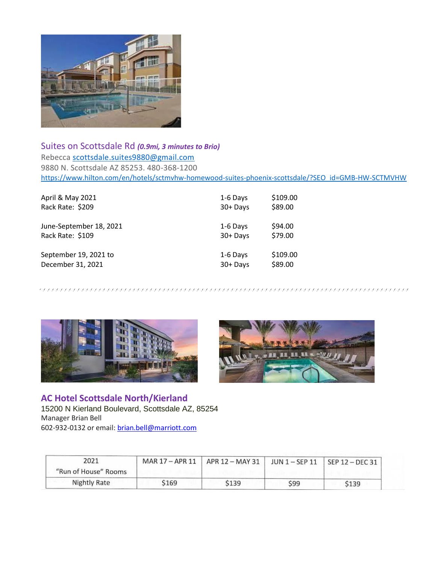

Suites on Scottsdale Rd *(0.9mi, 3 minutes to Brio)* Rebecca [scottsdale.suites9880@gmail.com](mailto:scottsdale.suites9880@gmail.com) 9880 N. Scottsdale AZ 85253. 480-368-1200 [https://www.hilton.com/en/hotels/sctmvhw-homewood-suites-phoenix-scottsdale/?SEO\\_id=GMB-HW-SCTMVHW](https://www.hilton.com/en/hotels/sctmvhw-homewood-suites-phoenix-scottsdale/?SEO_id=GMB-HW-SCTMVHW)

| April & May 2021        | 1-6 Days    | \$109.00 |
|-------------------------|-------------|----------|
| Rack Rate: \$209        | $30 +$ Days | \$89.00  |
| June-September 18, 2021 | 1-6 Days    | \$94.00  |
| Rack Rate: \$109        | $30 +$ Days | \$79.00  |
| September 19, 2021 to   | 1-6 Days    | \$109.00 |
| December 31, 2021       | $30 +$ Days | \$89.00  |





**AC Hotel Scottsdale North/Kierland** 15200 N Kierland Boulevard, Scottsdale AZ, 85254 Manager Brian Bell 602-932-0132 or email: [brian.bell@marriott.com](mailto:brian.bell@marriott.com)

| 2021<br>"Run of House" Rooms |       | MAR 17 - APR 11   APR 12 - MAY 31 |     | JUN $1 -$ SEP 11   SEP 12 - DEC 31 |
|------------------------------|-------|-----------------------------------|-----|------------------------------------|
| Nightly Rate                 | \$169 | S139                              | S99 | \$139                              |